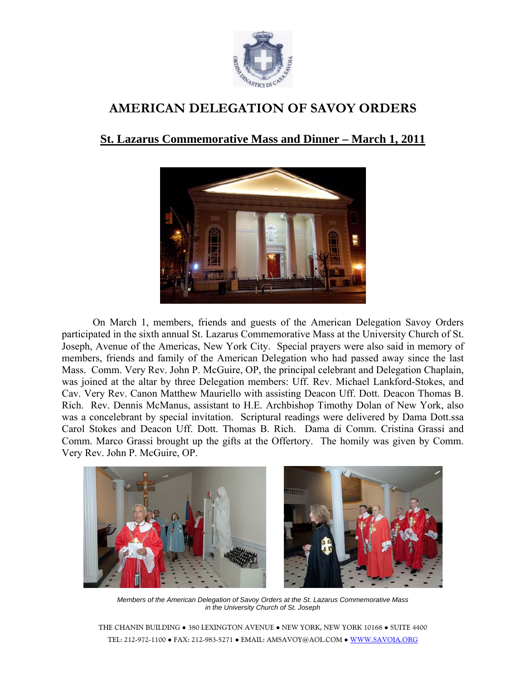

## **AMERICAN DELEGATION OF SAVOY ORDERS**

## **St. Lazarus Commemorative Mass and Dinner – March 1, 2011**



On March 1, members, friends and guests of the American Delegation Savoy Orders participated in the sixth annual St. Lazarus Commemorative Mass at the University Church of St. Joseph, Avenue of the Americas, New York City. Special prayers were also said in memory of members, friends and family of the American Delegation who had passed away since the last Mass. Comm. Very Rev. John P. McGuire, OP, the principal celebrant and Delegation Chaplain, was joined at the altar by three Delegation members: Uff. Rev. Michael Lankford-Stokes, and Cav. Very Rev. Canon Matthew Mauriello with assisting Deacon Uff. Dott. Deacon Thomas B. Rich. Rev. Dennis McManus, assistant to H.E. Archbishop Timothy Dolan of New York, also was a concelebrant by special invitation. Scriptural readings were delivered by Dama Dott.ssa Carol Stokes and Deacon Uff. Dott. Thomas B. Rich. Dama di Comm. Cristina Grassi and Comm. Marco Grassi brought up the gifts at the Offertory. The homily was given by Comm. Very Rev. John P. McGuire, OP.



*Members of the American Delegation of Savoy Orders at the St. Lazarus Commemorative Mass in the University Church of St. Joseph* 

THE CHANIN BUILDING ● 380 LEXINGTON AVENUE ● NEW YORK, NEW YORK 10168 ● SUITE 4400 TEL: 212-972-1100 ● FAX: 212-983-5271 ● EMAIL: AMSAVOY@AOL.COM ● WWW.SAVOIA.ORG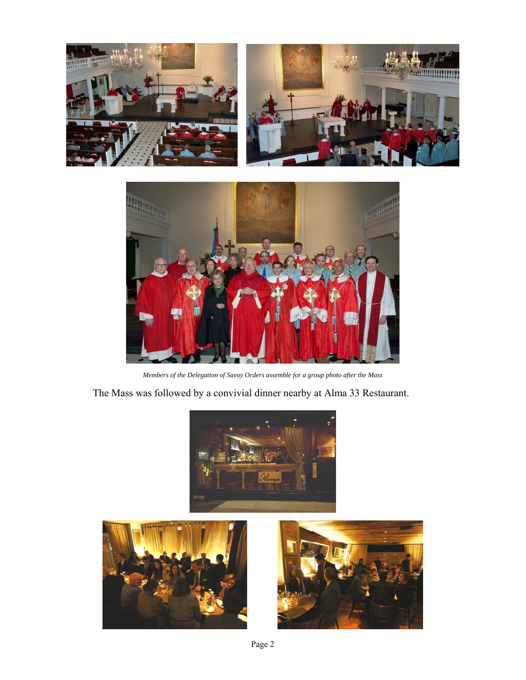



*Members of the Delegation of Savoy Orders assemble for a group photo after the Mass* 

The Mass was followed by a convivial dinner nearby at Alma 33 Restaurant.